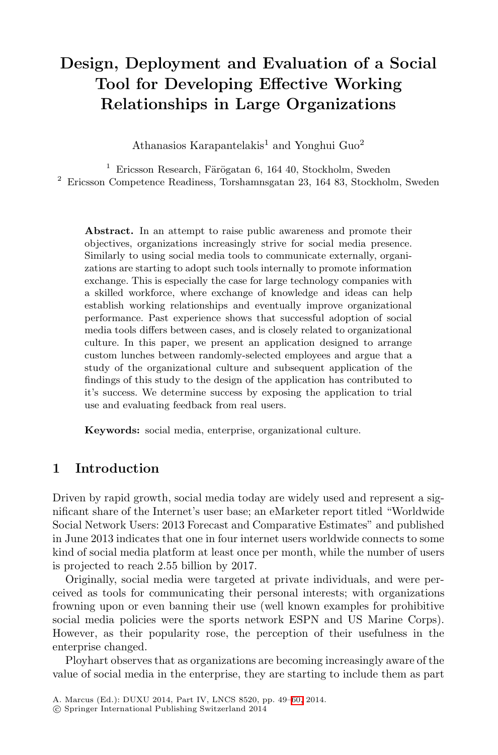# **Design, Deployment and Evaluation of a Social Tool for Developing Effective Working Relationships in Large Organizations**

Athanasios Karapantelakis<sup>1</sup> and Yonghui Guo<sup>2</sup>

<sup>1</sup> Ericsson Research, Färögatan 6, 164 40, Stockholm, Sweden  $^2$  Ericsson Competence Readiness, Torshamnsgatan 23, 164 83, Stockholm, Sweden

**Abstract.** In an attempt to raise public awareness and promote their objectives, organizations increasingly strive for social media presence. Similarly to using social media tools to communicate externally, organizations are starting to adopt such tools internally to promote information exchange. This is especially the case for large technology companies with a skilled workforce, where exchange of knowledge and ideas can help establish working relationships and eventually improve organizational performance. Past experience shows that successful adoption of social media tools differs between cases, and is closely related to organizational culture. In this paper, we present an application designed to arrange custom lunches between randomly-selected employees and argue that a study of the organizational culture and subsequent application of the findings of this study to the design of the application has contributed to it's success. We determine success by exposing the application to trial use and evaluating feedback from real users.

**Keywords:** social media, enterprise, organizational culture.

#### **1 Introduction**

Driven by rapid growth, social media today are widely used and represent a significant share of the Internet's user base; an eMarketer report titled "Worldwide Social Network Users: 2013 Forecast and Comparative Estimates" and published in June 2013 indicates that one in four internet users worldwide connects to some kind of social media platform at least once per month, while the number of users is projected to reach 2.55 billion by 2017.

Originally, social media were targeted at private individuals, and were perceived as tools for communic[atin](#page-11-0)g their personal interests; with organizations frowning upon or even banning their use (well known examples for prohibitive social media policies were the sports network ESPN and US Marine Corps). However, as their popularity rose, the perception of their usefulness in the enterprise changed.

Ployhart observes that as organizations are becoming increasingly aware of the value of social media in the enterprise, they are starting to include them as part

A. Marcus (Ed.): DUXU 2014, Part IV, LNCS 8520, pp. 49–60, 2014.

<sup>-</sup>c Springer International Publishing Switzerland 2014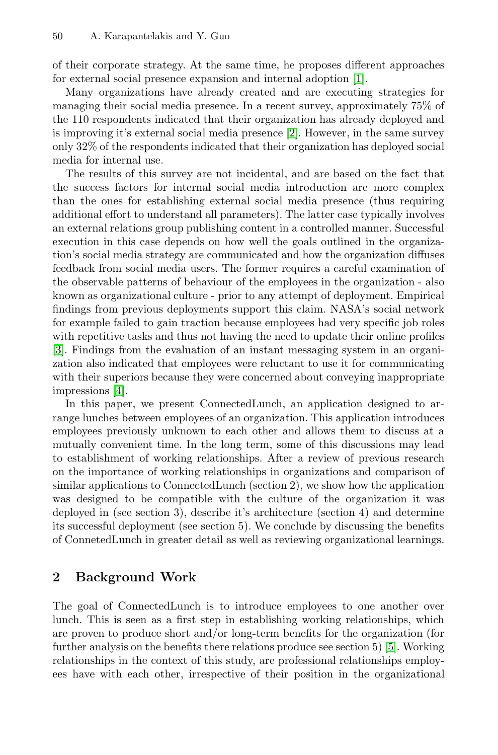#### 50 A. Karapantelakis and [Y.](#page-11-1) Guo

of their corporate strategy. At the same time, he proposes different approaches for external social presence expansion and internal adoption [1].

Many organizations have already created and are executing strategies for managing their social media presence. In a recent survey, approximately 75% of the 110 respondents indicated that their organization has already deployed and is improving it's external social media presence [2]. However, in the same survey only 32% of the respondents indicated that their organization has deployed social media for internal use.

The results of this survey are not incidental, and are based on the fact that the success factors for internal social media introduction are more complex than the ones for establishing external social media presence (thus requiring additional effort to understand all parameters). The latter case typically involves an external relations group publishing content in a controlled manner. Successful execution in this case depends on how well the goals outlined in the organization's social media strategy are communicated and how the organization diffuses feedback from social media users. The former requires a careful examination of the observable patterns of behaviour of the employees in the organization - also known as organizational culture - prior to any attempt of deployment. Empirical findings from previous deployments support this claim. NASA's social network for example failed to gain traction because employees had very specific job roles with repetitive tasks and thus not having the need to update their online profiles [3]. Findings from the evaluation of an instant messaging system in an organization also indicated that employees were reluctant to use it for communicating with their superiors because they were concerned about conveying inappropriate impressions [4].

In this paper, we present ConnectedLunch, an application designed to arrange lunches between employees of an organization. This application introduces employees previously unknown to each other and allows them to discuss at a mutually convenient time. In the long term, some of this discussions may lead to establishment of working relationships. After a review of previous research on the importance of working relationships in organizations and comparison of similar applications to ConnectedLunch (section 2), we show how the application was designed to be compatible with the culture of the organization it was deployed in (see section 3), describe it's architecture (section 4) and determine its successful deployment (see section 5). We conclude by discussing the benefits of ConnetedLunch in greater detail as well as revie[w](#page-11-2)ing organizational learnings.

## **2 Background Work**

The goal of ConnectedLunch is to introduce employees to one another over lunch. This is seen as a first step in establishing working relationships, which are proven to produce short and/or long-term benefits for the organization (for further analysis on the benefits there relations produce see section 5) [5]. Working relationships in the context of this study, are professional relationships employees have with each other, irrespective of their position in the organizational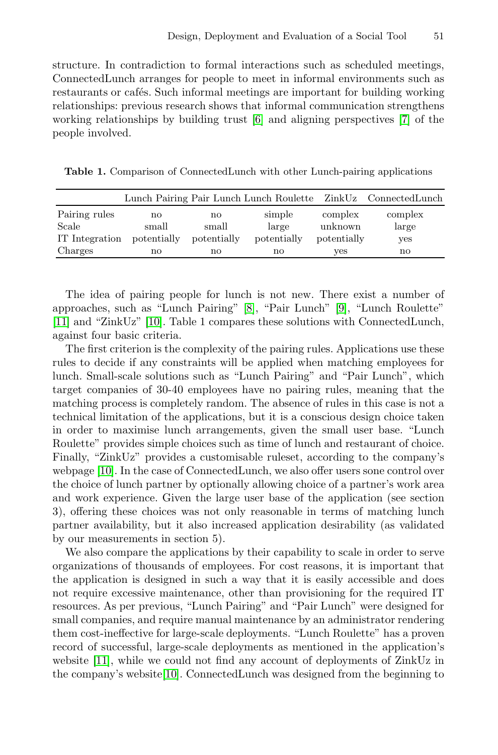structure. In contradiction to formal interactions such as scheduled meetings, ConnectedLunch arranges for people to meet in informal environments such as restaurants or cafés. Such informal meetings are important for building working relationships: previous research shows that informal communication strengthens working relationships by building trust [6] and aligning perspectives [7] of the people involved.

**Table 1.** Comparison of ConnectedLunch with other Lunch-pairing applications

|                |             |              |             |             | Lunch Pairing Pair Lunch Lunch Roulette ZinkUz Connected Lunch |
|----------------|-------------|--------------|-------------|-------------|----------------------------------------------------------------|
| Pairing rules  | no          | no           | simple      | complex     | complex                                                        |
| Scale          | small       | small        | large       | unknown     | large                                                          |
| IT Integration | potentially | potentially  | potentially | potentially | yes                                                            |
| Charges        | no          | $\mathbf{n}$ | no          | yes         | $\mathbf{n}\mathbf{o}$                                         |

The idea of pairing people for lunch is not new. There exist a number of approaches, such as "Lunch Pairing" [8], "Pair Lunch" [9], "Lunch Roulette" [11] and "ZinkUz" [10]. Table 1 compares these solutions with ConnectedLunch, against four basic criteria.

The first criterion is the complexity of the pairing rules. Applications use these rules to decide if any constraints will be applied when matching employees for lunch. Small-scale solutions such as "Lunch Pairing" and "Pair Lunch", which target companies of 30-40 employees have no pairing rules, meaning that the matching process is completely random. The absence of rules in this case is not a technical limitation of the applications, but it is a conscious design choice taken in order to maximise lunch arrangements, given the small user base. "Lunch Roulette" provides simple choices such as time of lunch and restaurant of choice. Finally, "ZinkUz" provides a customisable ruleset, according to the company's webpage [10]. In the case of ConnectedLunch, we also offer users sone control over the choice of lunch partner by optionally allowing choice of a partner's work area and work experience. Given the large user base of the application (see section 3), offering these choices was not only reasonable in terms of matching lunch partner availability, but it also increased application desirability (as validated by our measurements in section 5).

We also compare the applications by their capability to scale in order to serve orga[niza](#page-11-5)tions of thousands of employees. For cost reasons, it is important that the application is designed in such a way that it is easily accessible and does not require excessive maintenance, other than provisioning for the required IT resources. As per previous, "Lunch Pairing" and "Pair Lunch" were designed for small companies, and require manual maintenance by an administrator rendering them cost-ineffective for large-scale deployments. "Lunch Roulette" has a proven record of successful, large-scale deployments as mentioned in the application's website [11], while we could not find any account of deployments of ZinkUz in the company's website[10]. ConnectedLunch was designed from the beginning to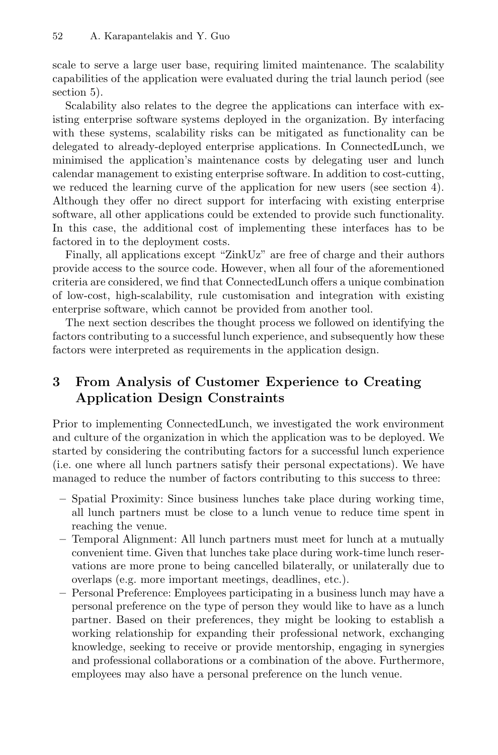scale to serve a large user base, requiring limited maintenance. The scalability capabilities of the application were evaluated during the trial launch period (see section 5).

Scalability also relates to the degree the applications can interface with existing enterprise software systems deployed in the organization. By interfacing with these systems, scalability risks can be mitigated as functionality can be delegated to already-deployed enterprise applications. In ConnectedLunch, we minimised the application's maintenance costs by delegating user and lunch calendar management to existing enterprise software. In addition to cost-cutting, we reduced the learning curve of the application for new users (see section 4). Although they offer no direct support for interfacing with existing enterprise software, all other applications could be extended to provide such functionality. In this case, the additional cost of implementing these interfaces has to be factored in to the deployment costs.

Finally, all applications except "ZinkUz" are free of charge and their authors provide access to the source code. However, when all four of the aforementioned criteria are considered, we find that ConnectedLunch offers a unique combination of low-cost, high-scalability, rule customisation and integration with existing enterprise software, which cannot be provided from another tool.

The next section describes the thought process we followed on identifying the factors contributing to a successful lunch experience, and subsequently how these factors were interpreted as requirements in the application design.

# **3 From Analysis of Customer Experience to Creating Application Design Constraints**

Prior to implementing ConnectedLunch, we investigated the work environment and culture of the organization in which the application was to be deployed. We started by considering the contributing factors for a successful lunch experience (i.e. one where all lunch partners satisfy their personal expectations). We have managed to reduce the number of factors contributing to this success to three:

- **–** Spatial Proximity: Since business lunches take place during working time, all lunch partners must be close to a lunch venue to reduce time spent in reaching the venue.
- **–** Temporal Alignment: All lunch partners must meet for lunch at a mutually convenient time. Given that lunches take place during work-time lunch reservations are more prone to being cancelled bilaterally, or unilaterally due to overlaps (e.g. more important meetings, deadlines, etc.).
- **–** Personal Preference: Employees participating in a business lunch may have a personal preference on the type of person they would like to have as a lunch partner. Based on their preferences, they might be looking to establish a working relationship for expanding their professional network, exchanging knowledge, seeking to receive or provide mentorship, engaging in synergies and professional collaborations or a combination of the above. Furthermore, employees may also have a personal preference on the lunch venue.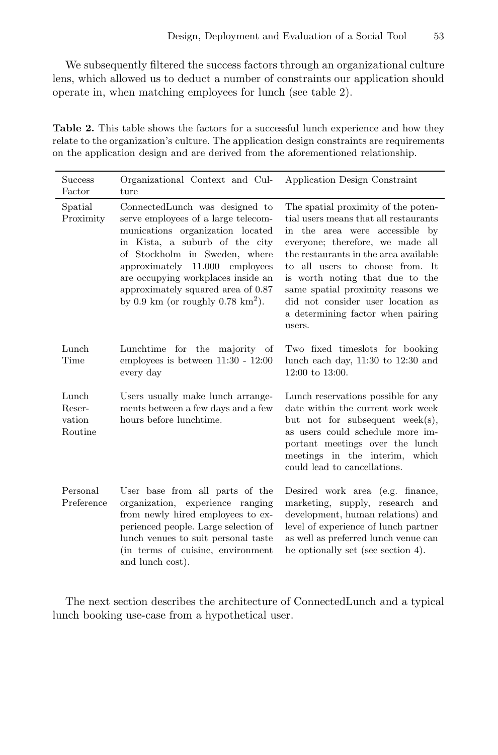We subsequently filtered the success factors through an organizational culture lens, which allowed us to deduct a number of constraints our application should operate in, when matching employees for lunch (see table 2).

**Table 2.** This table shows the factors for a successful lunch experience and how they relate to the organization's culture. The application design constraints are requirements on the application design and are derived from the aforementioned relationship.

| <b>Success</b><br>Factor             | Organizational Context and Cul-<br>ture                                                                                                                                                                                                                                                                                                       | Application Design Constraint                                                                                                                                                                                                                                                                                                                                                              |
|--------------------------------------|-----------------------------------------------------------------------------------------------------------------------------------------------------------------------------------------------------------------------------------------------------------------------------------------------------------------------------------------------|--------------------------------------------------------------------------------------------------------------------------------------------------------------------------------------------------------------------------------------------------------------------------------------------------------------------------------------------------------------------------------------------|
| Spatial<br>Proximity                 | ConnectedLunch was designed to<br>serve employees of a large telecom-<br>munications organization located<br>in Kista, a suburb of the city<br>of Stockholm in Sweden, where<br>approximately 11.000<br>employees<br>are occupying workplaces inside an<br>approximately squared area of 0.87<br>by 0.9 km (or roughly $0.78 \text{ km}^2$ ). | The spatial proximity of the poten-<br>tial users means that all restaurants<br>in the area were accessible by<br>everyone; therefore, we made all<br>the restaurants in the area available<br>to all users to choose from. It<br>is worth noting that due to the<br>same spatial proximity reasons we<br>did not consider user location as<br>a determining factor when pairing<br>users. |
| Lunch<br>Time                        | Lunchtime for the majority of<br>employees is between $11:30 - 12:00$<br>every day                                                                                                                                                                                                                                                            | Two fixed timeslots for booking<br>lunch each day, $11:30$ to $12:30$ and<br>12:00 to 13:00.                                                                                                                                                                                                                                                                                               |
| Lunch<br>Reser-<br>vation<br>Routine | Users usually make lunch arrange-<br>ments between a few days and a few<br>hours before lunchtime.                                                                                                                                                                                                                                            | Lunch reservations possible for any<br>date within the current work week<br>but not for subsequent week $(s)$ ,<br>as users could schedule more im-<br>portant meetings over the lunch<br>meetings in the interim, which<br>could lead to cancellations.                                                                                                                                   |
| Personal<br>Preference               | User base from all parts of the<br>organization, experience ranging<br>from newly hired employees to ex-<br>perienced people. Large selection of<br>lunch venues to suit personal taste<br>(in terms of cuisine, environment<br>and lunch cost).                                                                                              | Desired work area (e.g. finance,<br>marketing, supply, research and<br>development, human relations) and<br>level of experience of lunch partner<br>as well as preferred lunch venue can<br>be optionally set (see section 4).                                                                                                                                                             |

The next section describes the architecture of ConnectedLunch and a typical lunch booking use-case from a hypothetical user.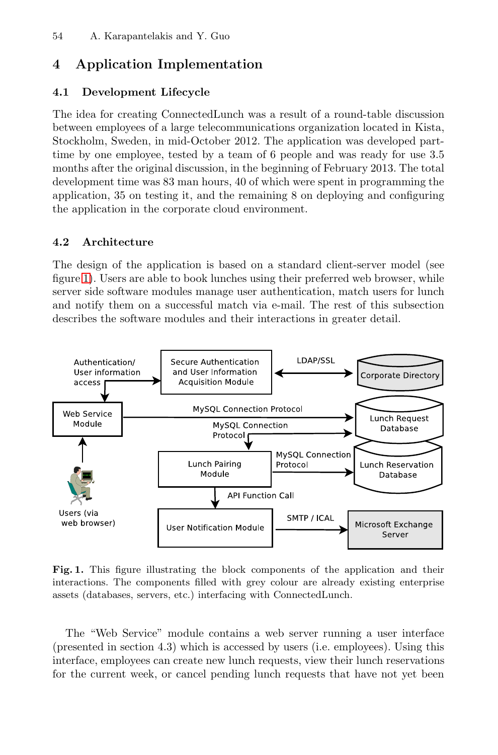# **4 Application Implementation**

### **4.1 Development Lifecycle**

The idea for creating ConnectedLunch was a result of a round-table discussion between employees of a large telecommunications organization located in Kista, Stockholm, Sweden, in mid-October 2012. The application was developed parttime by one employee, tested by a team of 6 people and was ready for use 3.5 months after the original discussion, in the beginning of February 2013. The total development time was 83 man hours, 40 of which were spent in programming the application, 35 on testing it, and the remaining 8 on deploying and configuring the application in the corporate cloud environment.

## **4.2 Architecture**

The design of the application is based on a standard client-server model (see figure 1). Users are able to book lunches using their preferred web browser, while server side software modules manage user authentication, match users for lunch and notify them on a successful match via e-mail. The rest of this subsection describes the software modules and their interactions in greater detail.



**Fig. 1.** This figure illustrating the block components of the application and their interactions. The components filled with grey colour are already existing enterprise assets (databases, servers, etc.) interfacing with ConnectedLunch.

The "Web Service" module contains a web server running a user interface (presented in section 4.3) which is accessed by users (i.e. employees). Using this interface, employees can create new lunch requests, view their lunch reservations for the current week, or cancel pending lunch requests that have not yet been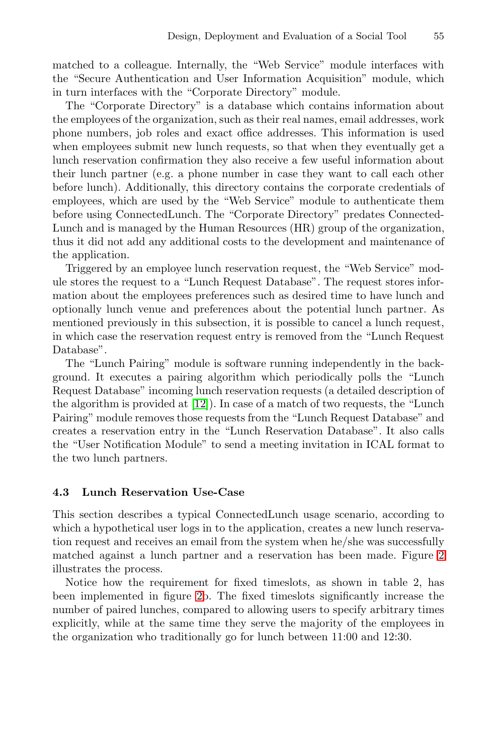matched to a colleague. Internally, the "Web Service" module interfaces with the "Secure Authentication and User Information Acquisition" module, which in turn interfaces with the "Corporate Directory" module.

The "Corporate Directory" is a database which contains information about the employees of the organization, such as their real names, email addresses, work phone numbers, job roles and exact office addresses. This information is used when employees submit new lunch requests, so that when they eventually get a lunch reservation confirmation they also receive a few useful information about their lunch partner (e.g. a phone number in case they want to call each other before lunch). Additionally, this directory contains the corporate credentials of employees, which are used by the "Web Service" module to authenticate them before using ConnectedLunch. The "Corporate Directory" predates Connected-Lunch and is managed by the Human Resources (HR) group of the organization, thus it did not add any additional costs to the development and maintenance of the application.

Triggered by an employee lunch reservation request, the "Web Service" module stores the request to a "Lunch Request Database". The request stores information ab[out](#page-11-6) the employees preferences such as desired time to have lunch and optionally lunch venue and preferences about the potential lunch partner. As mentioned previously in this subsection, it is possible to cancel a lunch request, in which case the reservation request entry is removed from the "Lunch Request Database".

The "Lunch Pairing" module is software running independently in the background. It executes a pairing algorithm which periodically polls the "Lunch Request Database" incoming lunch reservation requests (a detailed description of the algorithm is provided at [12]). In case of a match of two requests, the "Lunch Pairing" module removes those requests from the "Lunch Request Database" and creates a reservation entry in the "Lunch Reservation Database". It also calls the "User Notification Module" to send a meeting invitatio[n in](#page-7-0) ICAL format to the two lunch partners.

#### **4.3 Lun[ch](#page-7-0) Reservation Use-Case**

This section describes a typical ConnectedLunch usage scenario, according to which a hypothetical user logs in to the application, creates a new lunch reservation request and receives an email from the system when he/she was successfully matched against a lunch partner and a reservation has been made. Figure 2 illustrates the process.

Notice how the requirement for fixed timeslots, as shown in table 2, has been implemented in figure 2b. The fixed timeslots significantly increase the number of paired lunches, compared to allowing users to specify arbitrary times explicitly, while at the same time they serve the majority of the employees in the organization who traditionally go for lunch between 11:00 and 12:30.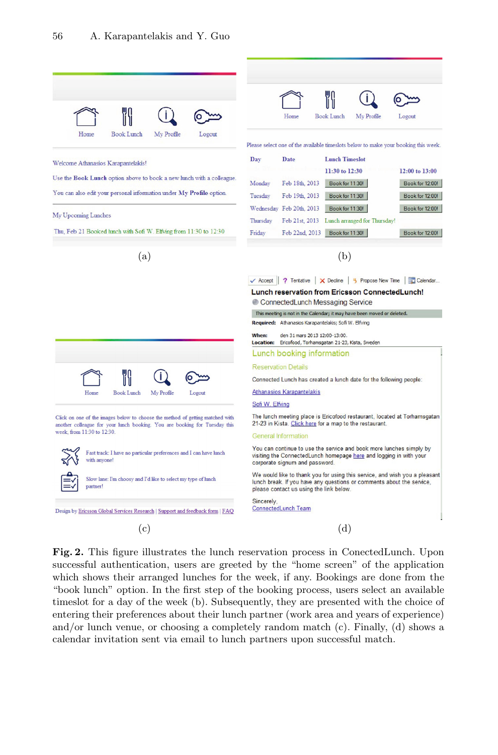

<span id="page-7-0"></span>**Fig. 2.** This figure illustrates the lunch reservation process in ConectedLunch. Upon successful authentication, users are greeted by the "home screen" of the application which shows their arranged lunches for the week, if any. Bookings are done from the "book lunch" option. In the first step of the booking process, users select an available timeslot for a day of the week (b). Subsequently, they are presented with the choice of entering their preferences about their lunch partner (work area and years of experience) and/or lunch venue, or choosing a completely random match (c). Finally, (d) shows a calendar invitation sent via email to lunch partners upon successful match.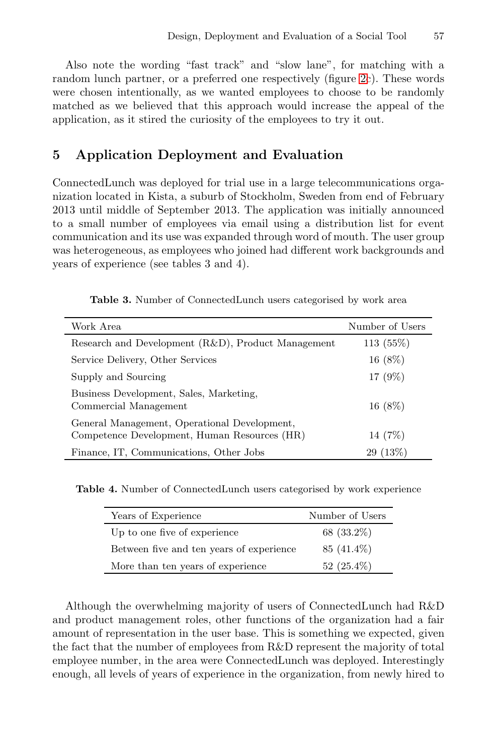Also note the wording "fast track" and "slow lane", for matching with a random lunch partner, or a preferred one respectively (figure 2c). These words were chosen intentionally, as we wanted employees to choose to be randomly matched as we believed that this approach would increase the appeal of the application, as it stired the curiosity of the employees to try it out.

## **5 Application Deployment and Evaluation**

ConnectedLunch was deployed for trial use in a large telecommunications organization located in Kista, a suburb of Stockholm, Sweden from end of February 2013 until middle of September 2013. The application was initially announced to a small number of employees via email using a distribution list for event communication and its use was expanded through word of mouth. The user group was heterogeneous, as employees who joined had different work backgrounds and years of experience (see tables 3 and 4).

|  | <b>Table 3.</b> Number of Connected Lunch users categorised by work area |  |  |  |
|--|--------------------------------------------------------------------------|--|--|--|
|  |                                                                          |  |  |  |

| Work Area                                                                                    | Number of Users |
|----------------------------------------------------------------------------------------------|-----------------|
| Research and Development (R&D), Product Management                                           | 113 (55%)       |
| Service Delivery, Other Services                                                             | $16(8\%)$       |
| Supply and Sourcing                                                                          | 17 (9%)         |
| Business Development, Sales, Marketing,<br>Commercial Management                             | $16(8\%)$       |
| General Management, Operational Development,<br>Competence Development, Human Resources (HR) | 14 (7%)         |
| Finance, IT, Communications, Other Jobs                                                      | 29 (13\%)       |

**Table 4.** Number of ConnectedLunch users categorised by work experience

| Years of Experience                      | Number of Users |
|------------------------------------------|-----------------|
| Up to one five of experience             | 68 (33.2%)      |
| Between five and ten years of experience | 85 (41.4%)      |
| More than ten years of experience        | $52(25.4\%)$    |

Although the overwhelming majority of users of ConnectedLunch had R&D and product management roles, other functions of the organization had a fair amount of representation in the user base. This is something we expected, given the fact that the number of employees from R&D represent the majority of total employee number, in the area were ConnectedLunch was deployed. Interestingly enough, all levels of years of experience in the organization, from newly hired to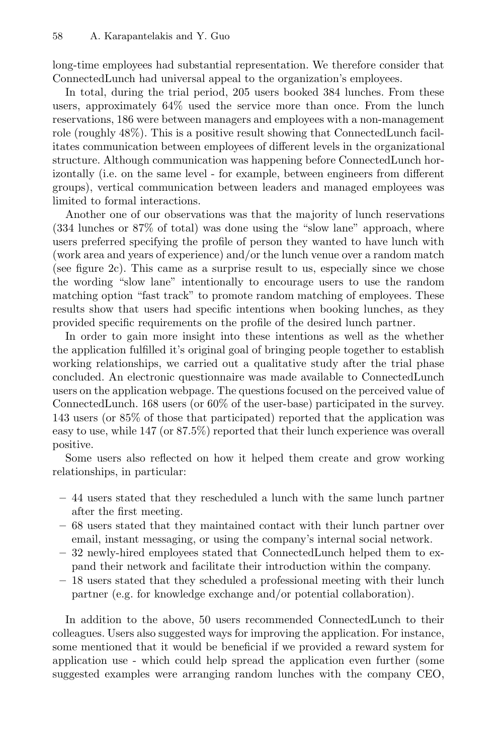long-time employees had substantial representation. We therefore consider that ConnectedLunch had universal appeal to the organization's employees.

In total, during the trial period, 205 users booked 384 lunches. From these users, approximately 64% used the service more than once. From the lunch reservations, 186 were between managers and employees with a non-management role (roughly 48%). This is a positive result showing that ConnectedLunch facilitates communication between employees of different levels in the organizational structure. Although communication was happening before ConnectedLunch horizontally (i.e. on the same level - for example, between engineers from different groups), vertical communication between leaders and managed employees was limited to formal interactions.

Another one of our observations was that the majority of lunch reservations (334 lunches or 87% of total) was done using the "slow lane" approach, where users preferred specifying the profile of person they wanted to have lunch with (work area and years of experience) and/or the lunch venue over a random match (see figure 2c). This came as a surprise result to us, especially since we chose the wording "slow lane" intentionally to encourage users to use the random matching option "fast track" to promote random matching of employees. These results show that users had specific intentions when booking lunches, as they provided specific requirements on the profile of the desired lunch partner.

In order to gain more insight into these intentions as well as the whether the application fulfilled it's original goal of bringing people together to establish working relationships, we carried out a qualitative study after the trial phase concluded. An electronic questionnaire was made available to ConnectedLunch users on the application webpage. The questions focused on the perceived value of ConnectedLunch. 168 users (or 60% of the user-base) participated in the survey. 143 users (or 85% of those that participated) reported that the application was easy to use, while 147 (or 87.5%) reported that their lunch experience was overall positive.

Some users also reflected on how it helped them create and grow working relationships, in particular:

- **–** 44 users stated that they rescheduled a lunch with the same lunch partner after the first meeting.
- **–** 68 users stated that they maintained contact with their lunch partner over email, instant messaging, or using the company's internal social network.
- **–** 32 newly-hired employees stated that ConnectedLunch helped them to expand their network and facilitate their introduction within the company.
- **–** 18 users stated that they scheduled a professional meeting with their lunch partner (e.g. for knowledge exchange and/or potential collaboration).

In addition to the above, 50 users recommended ConnectedLunch to their colleagues. Users also suggested ways for improving the application. For instance, some mentioned that it would be beneficial if we provided a reward system for application use - which could help spread the application even further (some suggested examples were arranging random lunches with the company CEO,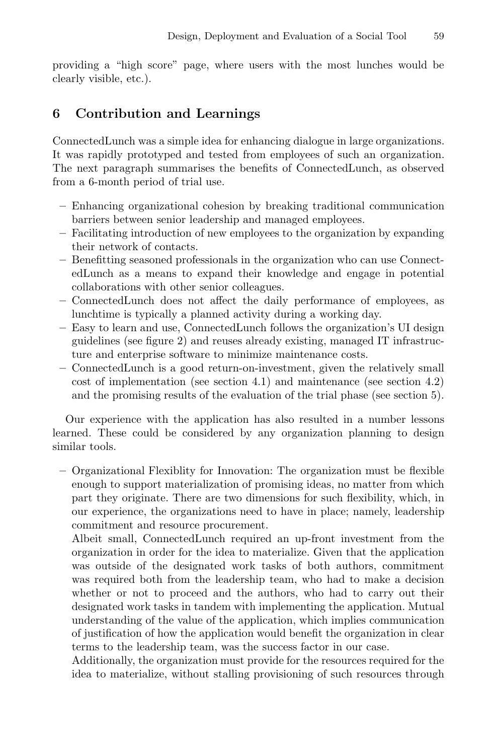providing a "high score" page, where users with the most lunches would be clearly visible, etc.).

## **6 Contribution and Learnings**

ConnectedLunch was a simple idea for enhancing dialogue in large organizations. It was rapidly prototyped and tested from employees of such an organization. The next paragraph summarises the benefits of ConnectedLunch, as observed from a 6-month period of trial use.

- **–** Enhancing organizational cohesion by breaking traditional communication barriers between senior leadership and managed employees.
- **–** Facilitating introduction of new employees to the organization by expanding their network of contacts.
- **–** Benefitting seasoned professionals in the organization who can use ConnectedLunch as a means to expand their knowledge and engage in potential collaborations with other senior colleagues.
- **–** ConnectedLunch does not affect the daily performance of employees, as lunchtime is typically a planned activity during a working day.
- **–** Easy to learn and use, ConnectedLunch follows the organization's UI design guidelines (see figure 2) and reuses already existing, managed IT infrastructure and enterprise software to minimize maintenance costs.
- **–** ConnectedLunch is a good return-on-investment, given the relatively small cost of implementation (see section 4.1) and maintenance (see section 4.2) and the promising results of the evaluation of the trial phase (see section 5).

Our experience with the application has also resulted in a number lessons learned. These could be considered by any organization planning to design similar tools.

**–** Organizational Flexiblity for Innovation: The organization must be flexible enough to support materialization of promising ideas, no matter from which part they originate. There are two dimensions for such flexibility, which, in our experience, the organizations need to have in place; namely, leadership commitment and resource procurement.

Albeit small, ConnectedLunch required an up-front investment from the organization in order for the idea to materialize. Given that the application was outside of the designated work tasks of both authors, commitment was required both from the leadership team, who had to make a decision whether or not to proceed and the authors, who had to carry out their designated work tasks in tandem with implementing the application. Mutual understanding of the value of the application, which implies communication of justification of how the application would benefit the organization in clear terms to the leadership team, was the success factor in our case.

Additionally, the organization must provide for the resources required for the idea to materialize, without stalling provisioning of such resources through